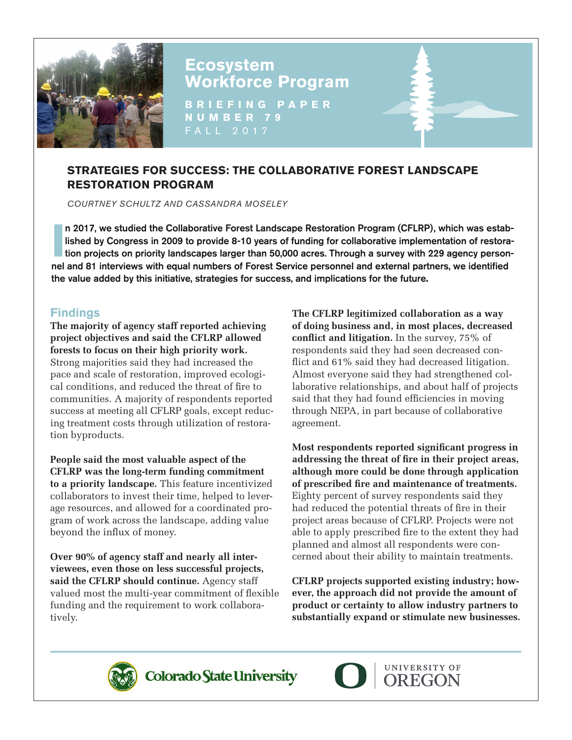

# **Ecosystem Workforce Program**

**BRIEFING PAPER NUMBER 79** FALL 2017

# **STRATEGIES FOR SUCCESS: THE COLLABORATIVE FOREST LANDSCAPE RESTORATION PROGRAM**

*COURTNEY SCHULTZ AND CASSANDRA MOSELEY*

I **I** a 2017, we studied the Collaborative Forest Landscape Restoration Program (CFLRP), which was established by Congress in 2009 to provide 8-10 years of funding for collaborative implementation of restoration projects o n 2017, we studied the Collaborative Forest Landscape Restoration Program (CFLRP), which was established by Congress in 2009 to provide 8-10 years of funding for collaborative implementation of restoranel and 81 interviews with equal numbers of Forest Service personnel and external partners, we identified the value added by this initiative, strategies for success, and implications for the future**.**

## **Findings**

**The majority of agency staff reported achieving project objectives and said the CFLRP allowed forests to focus on their high priority work.** Strong majorities said they had increased the pace and scale of restoration, improved ecological conditions, and reduced the threat of fire to communities. A majority of respondents reported success at meeting all CFLRP goals, except reducing treatment costs through utilization of restoration byproducts.

**People said the most valuable aspect of the CFLRP was the long-term funding commitment to a priority landscape.** This feature incentivized collaborators to invest their time, helped to leverage resources, and allowed for a coordinated program of work across the landscape, adding value beyond the influx of money.

**Over 90% of agency staff and nearly all interviewees, even those on less successful projects, said the CFLRP should continue.** Agency staff valued most the multi-year commitment of flexible funding and the requirement to work collaboratively.

**The CFLRP legitimized collaboration as a way of doing business and, in most places, decreased conflict and litigation.** In the survey, 75% of respondents said they had seen decreased conflict and 61% said they had decreased litigation. Almost everyone said they had strengthened collaborative relationships, and about half of projects said that they had found efficiencies in moving through NEPA, in part because of collaborative agreement.

**Most respondents reported significant progress in addressing the threat of fire in their project areas, although more could be done through application of prescribed fire and maintenance of treatments.** Eighty percent of survey respondents said they had reduced the potential threats of fire in their project areas because of CFLRP. Projects were not able to apply prescribed fire to the extent they had planned and almost all respondents were concerned about their ability to maintain treatments.

**CFLRP projects supported existing industry; however, the approach did not provide the amount of product or certainty to allow industry partners to substantially expand or stimulate new businesses.**



Colorado State University